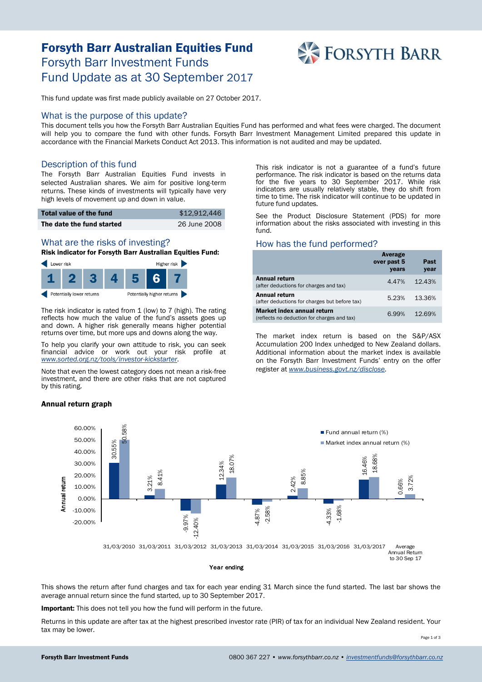# Forsyth Barr Australian Equities Fund Forsyth Barr Investment Funds Fund Update as at 30 September 2017



This fund update was first made publicly available on 27 October 2017.

#### What is the purpose of this update?

This document tells you how the Forsyth Barr Australian Equities Fund has performed and what fees were charged. The document will help you to compare the fund with other funds. Forsyth Barr Investment Management Limited prepared this update in accordance with the Financial Markets Conduct Act 2013. This information is not audited and may be updated.

### Description of this fund

The Forsyth Barr Australian Equities Fund invests in selected Australian shares. We aim for positive long-term returns. These kinds of investments will typically have very high levels of movement up and down in value.

| Total value of the fund   | \$12,912,446 |
|---------------------------|--------------|
| The date the fund started | 26 June 2008 |

# What are the risks of investing?

Risk indicator for Forsyth Barr Australian Equities Fund:



The risk indicator is rated from 1 (low) to 7 (high). The rating reflects how much the value of the fund's assets goes up and down. A higher risk generally means higher potential returns over time, but more ups and downs along the way.

To help you clarify your own attitude to risk, you can seek financial advice or work out your risk profile at *[www.sorted.org.nz/tools/investor-kickstarter](http://www.sorted.org.nz/tools/investor-kickstarter)*.

Note that even the lowest category does not mean a risk-free investment, and there are other risks that are not captured by this rating.

#### Annual return graph

This risk indicator is not a guarantee of a fund's future performance. The risk indicator is based on the returns data for the five years to 30 September 2017. While risk indicators are usually relatively stable, they do shift from time to time. The risk indicator will continue to be updated in future fund updates.

See the Product Disclosure Statement (PDS) for more information about the risks associated with investing in this fund.

### How has the fund performed?

|                                                                                  | Average<br>over past 5<br>years | Past<br>year |
|----------------------------------------------------------------------------------|---------------------------------|--------------|
| <b>Annual return</b><br>(after deductions for charges and tax)                   | 4.47%                           | 12.43%       |
| Annual return<br>(after deductions for charges but before tax)                   | 5.23%                           | 13.36%       |
| <b>Market index annual return</b><br>(reflects no deduction for charges and tax) | 6.99%                           | 12.69%       |

The market index return is based on the S&P/ASX Accumulation 200 Index unhedged to New Zealand dollars. Additional information about the market index is available on the Forsyth Barr Investment Funds' entry on the offer register at *[www.business.govt.nz/disclose.](http://www.business.govt.nz/disclose)*



This shows the return after fund charges and tax for each year ending 31 March since the fund started. The last bar shows the average annual return since the fund started, up to 30 September 2017.

Important: This does not tell you how the fund will perform in the future.

Returns in this update are after tax at the highest prescribed investor rate (PIR) of tax for an individual New Zealand resident. Your tax may be lower.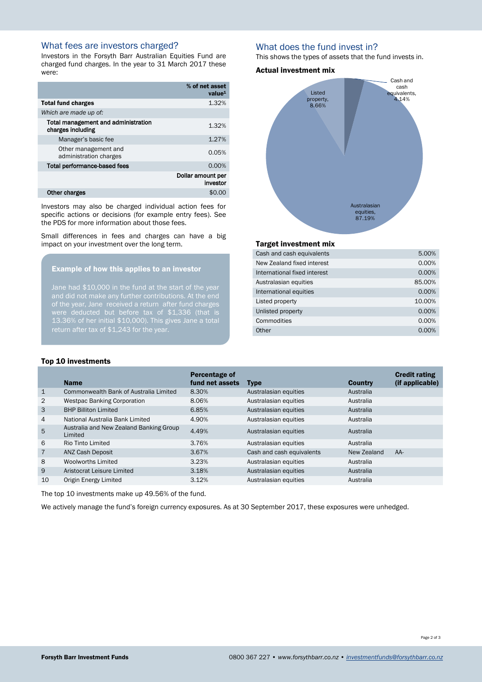# What fees are investors charged?

Investors in the Forsyth Barr Australian Equities Fund are charged fund charges. In the year to 31 March 2017 these were:

|                                                          | % of net asset<br>value <sup>1</sup> |
|----------------------------------------------------------|--------------------------------------|
| <b>Total fund charges</b>                                | 1.32%                                |
| Which are made up of:                                    |                                      |
| Total management and administration<br>charges including | 1.32%                                |
| Manager's basic fee                                      | 1.27%                                |
| Other management and<br>administration charges           | 0.05%                                |
| Total performance-based fees                             | 0.00%                                |
|                                                          | Dollar amount per<br>investor        |
| Other charges                                            | \$0.0                                |

Investors may also be charged individual action fees for specific actions or decisions (for example entry fees). See the PDS for more information about those fees.

Small differences in fees and charges can have a big impact on your investment over the long term.

#### Example of how this applies to an investor

Jane had \$10,000 in the fund at the start of the year of the year, Jane received a return after fund charges 13.36% of her initial \$10,000). This gives Jane a total return after tax of \$1,243 for the year.

## What does the fund invest in?

This shows the types of assets that the fund invests in.

#### Actual investment mix



## Target investment mix

| Cash and cash equivalents    | 5.00%  |
|------------------------------|--------|
| New Zealand fixed interest   | 0.00%  |
| International fixed interest | 0.00%  |
| Australasian equities        | 85.00% |
| International equities       | 0.00%  |
| Listed property              | 10.00% |
| Unlisted property            | 0.00%  |
| Commodities                  | 0.00%  |
| Other                        | 0.00%  |
|                              |        |

#### Top 10 investments

|                | <b>Name</b>                                        | Percentage of<br>fund net assets | <b>Type</b>               | <b>Country</b> | <b>Credit rating</b><br>(if applicable) |
|----------------|----------------------------------------------------|----------------------------------|---------------------------|----------------|-----------------------------------------|
| $\mathbf{1}$   | Commonwealth Bank of Australia Limited             | 8.30%                            | Australasian equities     | Australia      |                                         |
| $\overline{2}$ | <b>Westpac Banking Corporation</b>                 | 8.06%                            | Australasian equities     | Australia      |                                         |
| 3              | <b>BHP Billiton Limited</b>                        | 6.85%                            | Australasian equities     | Australia      |                                         |
| 4              | National Australia Bank Limited                    | 4.90%                            | Australasian equities     | Australia      |                                         |
| 5              | Australia and New Zealand Banking Group<br>Limited | 4.49%                            | Australasian equities     | Australia      |                                         |
| 6              | Rio Tinto Limited                                  | 3.76%                            | Australasian equities     | Australia      |                                         |
| $\overline{7}$ | <b>ANZ Cash Deposit</b>                            | 3.67%                            | Cash and cash equivalents | New Zealand    | $AA-$                                   |
| 8              | Woolworths Limited                                 | 3.23%                            | Australasian equities     | Australia      |                                         |
| 9              | Aristocrat Leisure Limited                         | 3.18%                            | Australasian equities     | Australia      |                                         |
| 10             | Origin Energy Limited                              | 3.12%                            | Australasian equities     | Australia      |                                         |

The top 10 investments make up 49.56% of the fund.

We actively manage the fund's foreign currency exposures. As at 30 September 2017, these exposures were unhedged.